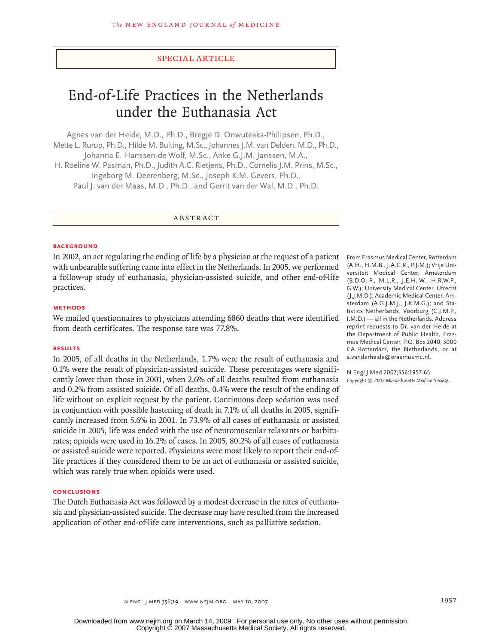## special article

# End-of-Life Practices in the Netherlands under the Euthanasia Act

Agnes van der Heide, M.D., Ph.D., Bregje D. Onwuteaka-Philipsen, Ph.D., Mette L. Rurup, Ph.D., Hilde M. Buiting, M.Sc., Johannes J.M. van Delden, M.D., Ph.D., Johanna E. Hanssen-de Wolf, M.Sc., Anke G.J.M. Janssen, M.A., H. Roeline W. Pasman, Ph.D., Judith A.C. Rietjens, Ph.D., Cornelis J.M. Prins, M.Sc., Ingeborg M. Deerenberg, M.Sc., Joseph K.M. Gevers, Ph.D., Paul J. van der Maas, M.D., Ph.D., and Gerrit van der Wal, M.D., Ph.D.

**ABSTRACT** 

#### **BACKGROUND**

In 2002, an act regulating the ending of life by a physician at the request of a patient with unbearable suffering came into effect in the Netherlands. In 2005, we performed a follow-up study of euthanasia, physician-assisted suicide, and other end-of-life practices.

#### **Methods**

We mailed questionnaires to physicians attending 6860 deaths that were identified from death certificates. The response rate was 77.8%.

#### **Results**

In 2005, of all deaths in the Netherlands, 1.7% were the result of euthanasia and 0.1% were the result of physician-assisted suicide. These percentages were significantly lower than those in 2001, when 2.6% of all deaths resulted from euthanasia and 0.2% from assisted suicide. Of all deaths, 0.4% were the result of the ending of life without an explicit request by the patient. Continuous deep sedation was used in conjunction with possible hastening of death in 7.1% of all deaths in 2005, significantly increased from 5.6% in 2001. In 73.9% of all cases of euthanasia or assisted suicide in 2005, life was ended with the use of neuromuscular relaxants or barbiturates; opioids were used in 16.2% of cases. In 2005, 80.2% of all cases of euthanasia or assisted suicide were reported. Physicians were most likely to report their end-oflife practices if they considered them to be an act of euthanasia or assisted suicide, which was rarely true when opioids were used.

#### **Conclusions**

The Dutch Euthanasia Act was followed by a modest decrease in the rates of euthanasia and physician-assisted suicide. The decrease may have resulted from the increased application of other end-of-life care interventions, such as palliative sedation.

From Erasmus Medical Center, Rotterdam (A.H., H.M.B., J.A.C.R., P.J.M.); Vrije Universiteit Medical Center, Amsterdam (B.D.O.-P., M.L.R., J.E.H.-W., H.R.W.P., G.W.); University Medical Center, Utrecht (J.J.M.D.); Academic Medical Center, Amsterdam (A.G.J.M.J., J.K.M.G.); and Statistics Netherlands, Voorburg (C.J.M.P., I.M.D.) — all in the Netherlands. Address reprint requests to Dr. van der Heide at the Department of Public Health, Erasmus Medical Center, P.O. Box 2040, 3000 CA Rotterdam, the Netherlands, or at a.vanderheide@erasmusmc.nl.

N Engl J Med 2007;356:1957-65. *Copyright © 2007 Massachusetts Medical Society.*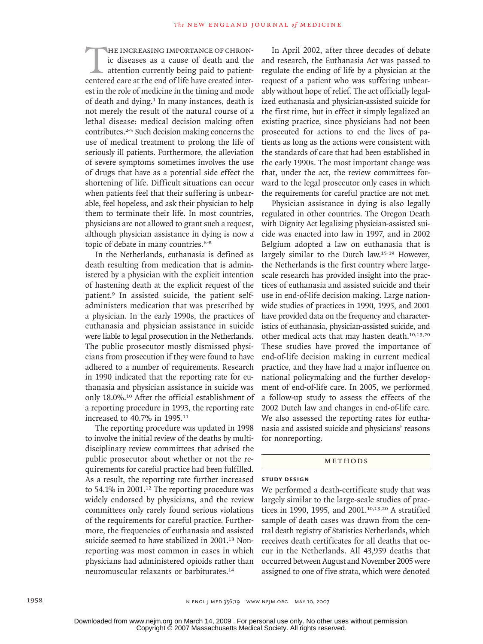THE INCREASING IMPORTANCE OF CHRON-<br>ic diseases as a cause of death and the<br>attention currently being paid to patient-<br>centered care at the end of life have created interic diseases as a cause of death and the attention currently being paid to patientest in the role of medicine in the timing and mode of death and dying.<sup>1</sup> In many instances, death is not merely the result of the natural course of a lethal disease: medical decision making often contributes.2-5 Such decision making concerns the use of medical treatment to prolong the life of seriously ill patients. Furthermore, the alleviation of severe symptoms sometimes involves the use of drugs that have as a potential side effect the shortening of life. Difficult situations can occur when patients feel that their suffering is unbearable, feel hopeless, and ask their physician to help them to terminate their life. In most countries, physicians are not allowed to grant such a request, although physician assistance in dying is now a topic of debate in many countries.<sup>6-8</sup>

In the Netherlands, euthanasia is defined as death resulting from medication that is administered by a physician with the explicit intention of hastening death at the explicit request of the patient.9 In assisted suicide, the patient selfadministers medication that was prescribed by a physician. In the early 1990s, the practices of euthanasia and physician assistance in suicide were liable to legal prosecution in the Netherlands. The public prosecutor mostly dismissed physicians from prosecution if they were found to have adhered to a number of requirements. Research in 1990 indicated that the reporting rate for euthanasia and physician assistance in suicide was only 18.0%.10 After the official establishment of a reporting procedure in 1993, the reporting rate increased to 40.7% in 1995.<sup>11</sup>

The reporting procedure was updated in 1998 to involve the initial review of the deaths by multidisciplinary review committees that advised the public prosecutor about whether or not the requirements for careful practice had been fulfilled. As a result, the reporting rate further increased to 54.1% in 2001.<sup>12</sup> The reporting procedure was widely endorsed by physicians, and the review committees only rarely found serious violations of the requirements for careful practice. Furthermore, the frequencies of euthanasia and assisted suicide seemed to have stabilized in 2001.<sup>13</sup> Nonreporting was most common in cases in which physicians had administered opioids rather than neuromuscular relaxants or barbiturates.<sup>14</sup>

In April 2002, after three decades of debate and research, the Euthanasia Act was passed to regulate the ending of life by a physician at the request of a patient who was suffering unbearably without hope of relief. The act officially legalized euthanasia and physician-assisted suicide for the first time, but in effect it simply legalized an existing practice, since physicians had not been prosecuted for actions to end the lives of patients as long as the actions were consistent with the standards of care that had been established in the early 1990s. The most important change was that, under the act, the review committees forward to the legal prosecutor only cases in which the requirements for careful practice are not met.

Physician assistance in dying is also legally regulated in other countries. The Oregon Death with Dignity Act legalizing physician-assisted suicide was enacted into law in 1997, and in 2002 Belgium adopted a law on euthanasia that is largely similar to the Dutch law.15-19 However, the Netherlands is the first country where largescale research has provided insight into the practices of euthanasia and assisted suicide and their use in end-of-life decision making. Large nationwide studies of practices in 1990, 1995, and 2001 have provided data on the frequency and characteristics of euthanasia, physician-assisted suicide, and other medical acts that may hasten death.10,13,20 These studies have proved the importance of end-of-life decision making in current medical practice, and they have had a major influence on national policymaking and the further development of end-of-life care. In 2005, we performed a follow-up study to assess the effects of the 2002 Dutch law and changes in end-of-life care. We also assessed the reporting rates for euthanasia and assisted suicide and physicians' reasons for nonreporting.

#### METHODS

### **Study Design**

We performed a death-certificate study that was largely similar to the large-scale studies of practices in 1990, 1995, and 2001.10,13,20 A stratified sample of death cases was drawn from the central death registry of Statistics Netherlands, which receives death certificates for all deaths that occur in the Netherlands. All 43,959 deaths that occurred between August and November 2005 were assigned to one of five strata, which were denoted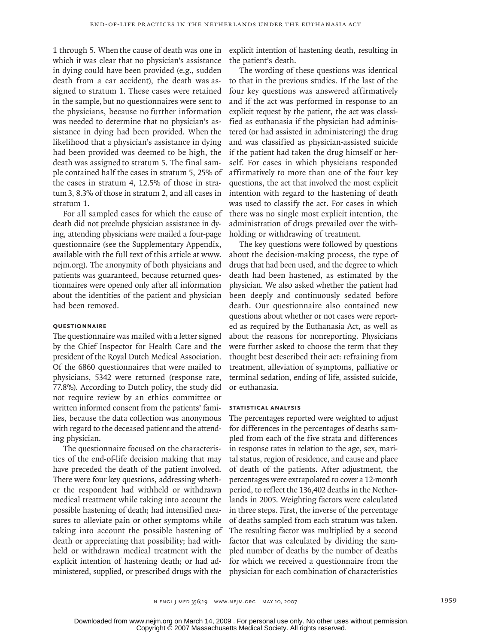1 through 5. When the cause of death was one in which it was clear that no physician's assistance in dying could have been provided (e.g., sudden death from a car accident), the death was assigned to stratum 1. These cases were retained in the sample, but no questionnaires were sent to the physicians, because no further information was needed to determine that no physician's assistance in dying had been provided. When the likelihood that a physician's assistance in dying had been provided was deemed to be high, the death was assigned to stratum 5. The final sample contained half the cases in stratum 5, 25% of the cases in stratum 4, 12.5% of those in stratum3, 8.3% of those in stratum 2, and all cases in stratum 1.

For all sampled cases for which the cause of death did not preclude physician assistance in dying, attending physicians were mailed a four-page questionnaire (see the Supplementary Appendix, available with the full text of this article at www. nejm.org). The anonymity of both physicians and patients was guaranteed, because returned questionnaires were opened only after all information about the identities of the patient and physician had been removed.

#### **Questionnaire**

The questionnaire was mailed with a letter signed by the Chief Inspector for Health Care and the president of the Royal Dutch Medical Association. Of the 6860 questionnaires that were mailed to physicians, 5342 were returned (response rate, 77.8%). According to Dutch policy, the study did not require review by an ethics committee or written informed consent from the patients' families, because the data collection was anonymous with regard to the deceased patient and the attending physician.

The questionnaire focused on the characteristics of the end-of-life decision making that may have preceded the death of the patient involved. There were four key questions, addressing whether the respondent had withheld or withdrawn medical treatment while taking into account the possible hastening of death; had intensified measures to alleviate pain or other symptoms while taking into account the possible hastening of death or appreciating that possibility; had withheld or withdrawn medical treatment with the explicit intention of hastening death; or had administered, supplied, or prescribed drugs with the explicit intention of hastening death, resulting in the patient's death.

The wording of these questions was identical to that in the previous studies. If the last of the four key questions was answered affirmatively and if the act was performed in response to an explicit request by the patient, the act was classified as euthanasia if the physician had administered (or had assisted in administering) the drug and was classified as physician-assisted suicide if the patient had taken the drug himself or herself. For cases in which physicians responded affirmatively to more than one of the four key questions, the act that involved the most explicit intention with regard to the hastening of death was used to classify the act. For cases in which there was no single most explicit intention, the administration of drugs prevailed over the withholding or withdrawing of treatment.

The key questions were followed by questions about the decision-making process, the type of drugs that had been used, and the degree to which death had been hastened, as estimated by the physician. We also asked whether the patient had been deeply and continuously sedated before death. Our questionnaire also contained new questions about whether or not cases were reported as required by the Euthanasia Act, as well as about the reasons for nonreporting. Physicians were further asked to choose the term that they thought best described their act: refraining from treatment, alleviation of symptoms, palliative or terminal sedation, ending of life, assisted suicide, or euthanasia.

#### **Statistical Analysis**

The percentages reported were weighted to adjust for differences in the percentages of deaths sampled from each of the five strata and differences in response rates in relation to the age, sex, marital status, region of residence, and cause and place of death of the patients. After adjustment, the percentages were extrapolated to cover a 12-month period, to reflect the 136,402 deaths in the Netherlands in 2005. Weighting factors were calculated in three steps. First, the inverse of the percentage of deaths sampled from each stratum was taken. The resulting factor was multiplied by a second factor that was calculated by dividing the sampled number of deaths by the number of deaths for which we received a questionnaire from the physician for each combination of characteristics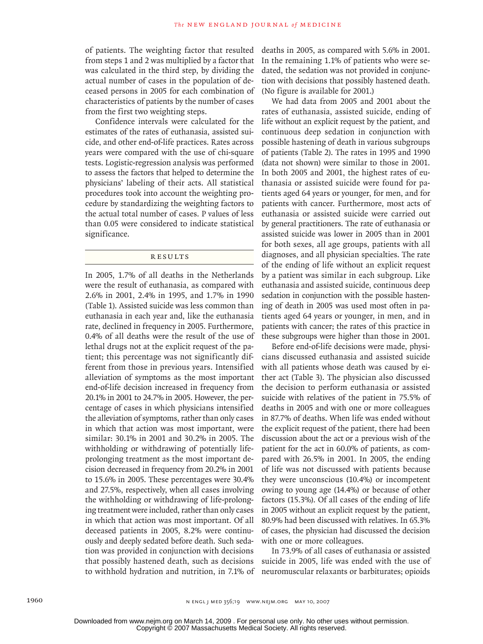of patients. The weighting factor that resulted from steps 1 and 2 was multiplied by a factor that was calculated in the third step, by dividing the actual number of cases in the population of deceased persons in 2005 for each combination of characteristics of patients by the number of cases from the first two weighting steps.

Confidence intervals were calculated for the estimates of the rates of euthanasia, assisted suicide, and other end-of-life practices. Rates across years were compared with the use of chi-square tests. Logistic-regression analysis was performed to assess the factors that helped to determine the physicians' labeling of their acts. All statistical procedures took into account the weighting procedure by standardizing the weighting factors to the actual total number of cases. P values of less than 0.05 were considered to indicate statistical significance.

# R esult s

In 2005, 1.7% of all deaths in the Netherlands were the result of euthanasia, as compared with 2.6% in 2001, 2.4% in 1995, and 1.7% in 1990 (Table 1). Assisted suicide was less common than euthanasia in each year and, like the euthanasia rate, declined in frequency in 2005. Furthermore, 0.4% of all deaths were the result of the use of lethal drugs not at the explicit request of the patient; this percentage was not significantly different from those in previous years. Intensified alleviation of symptoms as the most important end-of-life decision increased in frequency from 20.1% in 2001 to 24.7% in 2005. However, the percentage of cases in which physicians intensified the alleviation of symptoms, rather than only cases in which that action was most important, were similar: 30.1% in 2001 and 30.2% in 2005. The withholding or withdrawing of potentially lifeprolonging treatment as the most important decision decreased in frequency from 20.2% in 2001 to 15.6% in 2005. These percentages were 30.4% and 27.5%, respectively, when all cases involving the withholding or withdrawing of life-prolonging treatment were included, rather than only cases in which that action was most important. Of all deceased patients in 2005, 8.2% were continuously and deeply sedated before death. Such sedation was provided in conjunction with decisions that possibly hastened death, such as decisions to withhold hydration and nutrition, in 7.1% of

deaths in 2005, as compared with 5.6% in 2001. In the remaining 1.1% of patients who were sedated, the sedation was not provided in conjunction with decisions that possibly hastened death. (No figure is available for 2001.)

We had data from 2005 and 2001 about the rates of euthanasia, assisted suicide, ending of life without an explicit request by the patient, and continuous deep sedation in conjunction with possible hastening of death in various subgroups of patients (Table 2). The rates in 1995 and 1990 (data not shown) were similar to those in 2001. In both 2005 and 2001, the highest rates of euthanasia or assisted suicide were found for patients aged 64 years or younger, for men, and for patients with cancer. Furthermore, most acts of euthanasia or assisted suicide were carried out by general practitioners. The rate of euthanasia or assisted suicide was lower in 2005 than in 2001 for both sexes, all age groups, patients with all diagnoses, and all physician specialties. The rate of the ending of life without an explicit request by a patient was similar in each subgroup. Like euthanasia and assisted suicide, continuous deep sedation in conjunction with the possible hastening of death in 2005 was used most often in patients aged 64 years or younger, in men, and in patients with cancer; the rates of this practice in these subgroups were higher than those in 2001.

Before end-of-life decisions were made, physicians discussed euthanasia and assisted suicide with all patients whose death was caused by either act (Table 3). The physician also discussed the decision to perform euthanasia or assisted suicide with relatives of the patient in 75.5% of deaths in 2005 and with one or more colleagues in 87.7% of deaths. When life was ended without the explicit request of the patient, there had been discussion about the act or a previous wish of the patient for the act in 60.0% of patients, as compared with 26.5% in 2001. In 2005, the ending of life was not discussed with patients because they were unconscious (10.4%) or incompetent owing to young age (14.4%) or because of other factors (15.3%). Of all cases of the ending of life in 2005 without an explicit request by the patient, 80.9% had been discussed with relatives. In 65.3% of cases, the physician had discussed the decision with one or more colleagues.

In 73.9% of all cases of euthanasia or assisted suicide in 2005, life was ended with the use of neuromuscular relaxants or barbiturates; opioids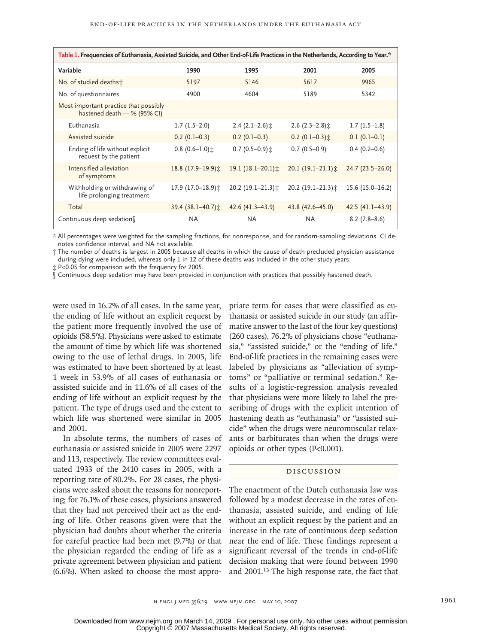| Table 1. Frequencies of Euthanasia, Assisted Suicide, and Other End-of-Life Practices in the Netherlands, According to Year.* |                            |                     |                        |                     |  |  |  |
|-------------------------------------------------------------------------------------------------------------------------------|----------------------------|---------------------|------------------------|---------------------|--|--|--|
| Variable                                                                                                                      | 1990                       | 1995                | 2001                   | 2005                |  |  |  |
| No. of studied deaths†                                                                                                        | 5197                       | 5146                | 5617                   | 9965                |  |  |  |
| No. of questionnaires                                                                                                         | 4900                       | 4604                | 5189                   | 5342                |  |  |  |
| Most important practice that possibly<br>hastened death - % (95% CI)                                                          |                            |                     |                        |                     |  |  |  |
| Euthanasia                                                                                                                    | $1.7(1.5-2.0)$             | $2.4(2.1-2.6)$ :    | $2.6$ (2.3-2.8) $\pm$  | $1.7(1.5-1.8)$      |  |  |  |
| Assisted suicide                                                                                                              | $0.2(0.1-0.3)$             | $0.2(0.1-0.3)$      | $0.2$ (0.1–0.3) $\pm$  | $0.1(0.1-0.1)$      |  |  |  |
| Ending of life without explicit<br>request by the patient                                                                     | $0.8(0.6-1.0)$             | $0.7(0.5-0.9)$ ±    | $0.7(0.5-0.9)$         | $0.4(0.2 - 0.6)$    |  |  |  |
| Intensified alleviation<br>of symptoms                                                                                        | 18.8 (17.9-19.9) $\hat{x}$ | 19.1 $(18.1-20.1)$  | $20.1(19.1-21.1)x$     | $24.7(23.5 - 26.0)$ |  |  |  |
| Withholding or withdrawing of<br>life-prolonging treatment                                                                    | 17.9 (17.0-18.9) $\hat{x}$ | 20.2 (19.1-21.3) ±  | 20.2 (19.1-21.3) $\pm$ | $15.6(15.0 - 16.2)$ |  |  |  |
| Total                                                                                                                         | 39.4 (38.1-40.7) $\pm$     | $42.6(41.3 - 43.9)$ | 43.8 (42.6 - 45.0)     | $42.5(41.1 - 43.9)$ |  |  |  |
| Continuous deep sedation                                                                                                      | NA.                        | NA.                 | ΝA                     | $8.2(7.8-8.6)$      |  |  |  |

\* All percentages were weighted for the sampling fractions, for nonresponse, and for random-sampling deviations. CI denotes confidence interval, and NA not available.

† The number of deaths is largest in 2005 because all deaths in which the cause of death precluded physician assistance during dying were included, whereas only 1 in 12 of these deaths was included in the other study years.

‡ P<0.05 for comparison with the frequency for 2005.

§ Continuous deep sedation may have been provided in conjunction with practices that possibly hastened death.

were used in 16.2% of all cases. In the same year, the ending of life without an explicit request by the patient more frequently involved the use of opioids (58.5%). Physicians were asked to estimate the amount of time by which life was shortened owing to the use of lethal drugs. In 2005, life was estimated to have been shortened by at least 1 week in 53.9% of all cases of euthanasia or assisted suicide and in 11.6% of all cases of the ending of life without an explicit request by the patient. The type of drugs used and the extent to which life was shortened were similar in 2005 and 2001.

In absolute terms, the numbers of cases of euthanasia or assisted suicide in 2005 were 2297 and 113, respectively. The review committees evaluated 1933 of the 2410 cases in 2005, with a reporting rate of 80.2%. For 28 cases, the physicians were asked about the reasons for nonreporting; for 76.1% of these cases, physicians answered that they had not perceived their act as the ending of life. Other reasons given were that the physician had doubts about whether the criteria for careful practice had been met (9.7%) or that the physician regarded the ending of life as a private agreement between physician and patient (6.6%). When asked to choose the most appropriate term for cases that were classified as euthanasia or assisted suicide in our study (an affirmative answer to the last of the four key questions) (260 cases), 76.2% of physicians chose "euthanasia," "assisted suicide," or the "ending of life." End-of-life practices in the remaining cases were labeled by physicians as "alleviation of symptoms" or "palliative or terminal sedation." Results of a logistic-regression analysis revealed that physicians were more likely to label the prescribing of drugs with the explicit intention of hastening death as "euthanasia" or "assisted suicide" when the drugs were neuromuscular relaxants or barbiturates than when the drugs were opioids or other types (P<0.001).

## Discussion

The enactment of the Dutch euthanasia law was followed by a modest decrease in the rates of euthanasia, assisted suicide, and ending of life without an explicit request by the patient and an increase in the rate of continuous deep sedation near the end of life. These findings represent a significant reversal of the trends in end-of-life decision making that were found between 1990 and 2001.13 The high response rate, the fact that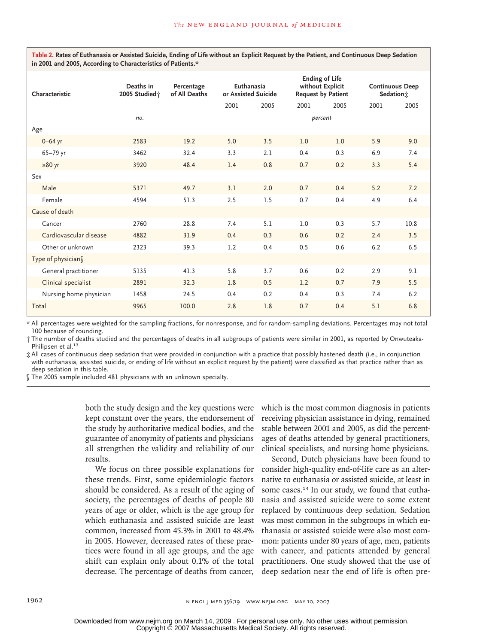**Table 2. Rates of Euthanasia or Assisted Suicide, Ending of Life without an Explicit Request by the Patient, and Continuous Deep Sedation in 2001 and 2005, According to Characteristics of Patients.\***

| Characteristic         | Deaths in<br>2005 Studied; | Percentage<br>of All Deaths | Euthanasia<br>or Assisted Suicide |      | <b>Ending of Life</b><br>without Explicit<br><b>Request by Patient</b> |      | <b>Continuous Deep</b><br>Sedation: |      |
|------------------------|----------------------------|-----------------------------|-----------------------------------|------|------------------------------------------------------------------------|------|-------------------------------------|------|
|                        |                            |                             | 2001                              | 2005 | 2001                                                                   | 2005 | 2001                                | 2005 |
|                        | no.                        |                             | percent                           |      |                                                                        |      |                                     |      |
| Age                    |                            |                             |                                   |      |                                                                        |      |                                     |      |
| $0 - 64$ yr            | 2583                       | 19.2                        | 5.0                               | 3.5  | 1.0                                                                    | 1.0  | 5.9                                 | 9.0  |
| 65-79 yr               | 3462                       | 32.4                        | 3.3                               | 2.1  | 0.4                                                                    | 0.3  | 6.9                                 | 7.4  |
| $\geq 80$ yr           | 3920                       | 48.4                        | 1.4                               | 0.8  | 0.7                                                                    | 0.2  | 3.3                                 | 5.4  |
| Sex                    |                            |                             |                                   |      |                                                                        |      |                                     |      |
| Male                   | 5371                       | 49.7                        | 3.1                               | 2.0  | 0.7                                                                    | 0.4  | 5.2                                 | 7.2  |
| Female                 | 4594                       | 51.3                        | 2.5                               | 1.5  | 0.7                                                                    | 0.4  | 4.9                                 | 6.4  |
| Cause of death         |                            |                             |                                   |      |                                                                        |      |                                     |      |
| Cancer                 | 2760                       | 28.8                        | 7.4                               | 5.1  | 1.0                                                                    | 0.3  | 5.7                                 | 10.8 |
| Cardiovascular disease | 4882                       | 31.9                        | 0.4                               | 0.3  | 0.6                                                                    | 0.2  | 2.4                                 | 3.5  |
| Other or unknown       | 2323                       | 39.3                        | 1.2                               | 0.4  | 0.5                                                                    | 0.6  | 6.2                                 | 6.5  |
| Type of physician§     |                            |                             |                                   |      |                                                                        |      |                                     |      |
| General practitioner   | 5135                       | 41.3                        | 5.8                               | 3.7  | 0.6                                                                    | 0.2  | 2.9                                 | 9.1  |
| Clinical specialist    | 2891                       | 32.3                        | 1.8                               | 0.5  | 1.2                                                                    | 0.7  | 7.9                                 | 5.5  |
| Nursing home physician | 1458                       | 24.5                        | 0.4                               | 0.2  | 0.4                                                                    | 0.3  | 7.4                                 | 6.2  |
| Total                  | 9965                       | 100.0                       | 2.8                               | 1.8  | 0.7                                                                    | 0.4  | 5.1                                 | 6.8  |

\* All percentages were weighted for the sampling fractions, for nonresponse, and for random-sampling deviations. Percentages may not total 100 because of rounding.

† The number of deaths studied and the percentages of deaths in all subgroups of patients were similar in 2001, as reported by Onwuteaka-Philipsen et al.<sup>13</sup>

‡ All cases of continuous deep sedation that were provided in conjunction with a practice that possibly hastened death (i.e., in conjunction with euthanasia, assisted suicide, or ending of life without an explicit request by the patient) were classified as that practice rather than as deep sedation in this table.

§ The 2005 sample included 481 physicians with an unknown specialty.

both the study design and the key questions were kept constant over the years, the endorsement of the study by authoritative medical bodies, and the guarantee of anonymity of patients and physicians all strengthen the validity and reliability of our results.

We focus on three possible explanations for these trends. First, some epidemiologic factors should be considered. As a result of the aging of society, the percentages of deaths of people 80 years of age or older, which is the age group for which euthanasia and assisted suicide are least common, increased from 45.3% in 2001 to 48.4% in 2005. However, decreased rates of these practices were found in all age groups, and the age shift can explain only about 0.1% of the total decrease. The percentage of deaths from cancer,

which is the most common diagnosis in patients receiving physician assistance in dying, remained stable between 2001 and 2005, as did the percentages of deaths attended by general practitioners, clinical specialists, and nursing home physicians.

Second, Dutch physicians have been found to consider high-quality end-of-life care as an alternative to euthanasia or assisted suicide, at least in some cases.<sup>13</sup> In our study, we found that euthanasia and assisted suicide were to some extent replaced by continuous deep sedation. Sedation was most common in the subgroups in which euthanasia or assisted suicide were also most common: patients under 80 years of age, men, patients with cancer, and patients attended by general practitioners. One study showed that the use of deep sedation near the end of life is often pre-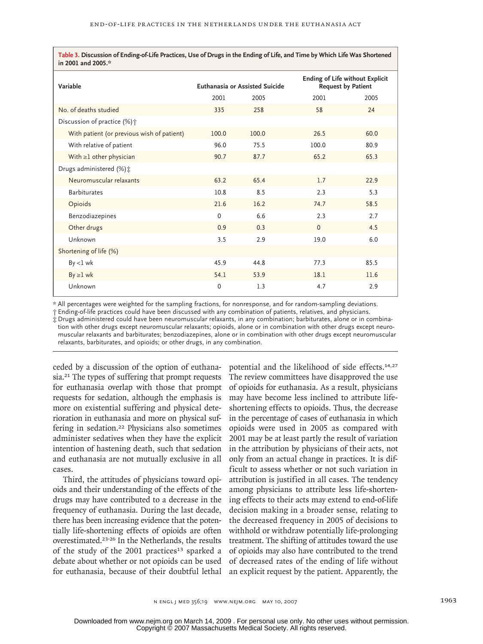**Table 3. Discussion of Ending-of-Life Practices, Use of Drugs in the Ending of Life, and Time by Which Life Was Shortened in 2001 and 2005.\***

| Variable                                   |       | <b>Euthanasia or Assisted Suicide</b> | <b>Ending of Life without Explicit</b><br><b>Request by Patient</b> |      |  |
|--------------------------------------------|-------|---------------------------------------|---------------------------------------------------------------------|------|--|
|                                            | 2001  | 2005                                  | 2001                                                                | 2005 |  |
| No. of deaths studied                      | 335   | 258                                   | 58                                                                  | 24   |  |
| Discussion of practice (%) <sup>+</sup>    |       |                                       |                                                                     |      |  |
| With patient (or previous wish of patient) | 100.0 | 100.0                                 | 26.5                                                                | 60.0 |  |
| With relative of patient                   | 96.0  | 75.5                                  | 100.0                                                               | 80.9 |  |
| With $\geq 1$ other physician              | 90.7  | 87.7                                  | 65.2                                                                | 65.3 |  |
| Drugs administered $(\%)\ddagger$          |       |                                       |                                                                     |      |  |
| Neuromuscular relaxants                    | 63.2  | 65.4                                  | 1.7                                                                 | 22.9 |  |
| <b>Barbiturates</b>                        | 10.8  | 8.5                                   | 2.3                                                                 | 5.3  |  |
| Opioids                                    | 21.6  | 16.2                                  | 74.7                                                                | 58.5 |  |
| Benzodiazepines                            | 0     | 6.6                                   | 2.3                                                                 | 2.7  |  |
| Other drugs                                | 0.9   | 0.3                                   | $\Omega$                                                            | 4.5  |  |
| Unknown                                    | 3.5   | 2.9                                   | 19.0                                                                | 6.0  |  |
| Shortening of life (%)                     |       |                                       |                                                                     |      |  |
| $By < l$ wk                                | 45.9  | 44.8                                  | 77.3                                                                | 85.5 |  |
| $By \geq 1$ wk                             | 54.1  | 53.9                                  | 18.1                                                                | 11.6 |  |
| Unknown                                    | 0     | 1.3                                   | 4.7                                                                 | 2.9  |  |

\* All percentages were weighted for the sampling fractions, for nonresponse, and for random-sampling deviations.

† Ending-of-life practices could have been discussed with any combination of patients, relatives, and physicians.

‡ Drugs administered could have been neuromuscular relaxants, in any combination; barbiturates, alone or in combination with other drugs except neuromuscular relaxants; opioids, alone or in combination with other drugs except neuromuscular relaxants and barbiturates; benzodiazepines, alone or in combination with other drugs except neuromuscular relaxants, barbiturates, and opioids; or other drugs, in any combination.

ceded by a discussion of the option of euthanasia.<sup>21</sup> The types of suffering that prompt requests for euthanasia overlap with those that prompt requests for sedation, although the emphasis is more on existential suffering and physical deterioration in euthanasia and more on physical suffering in sedation.<sup>22</sup> Physicians also sometimes administer sedatives when they have the explicit intention of hastening death, such that sedation and euthanasia are not mutually exclusive in all cases.

Third, the attitudes of physicians toward opioids and their understanding of the effects of the drugs may have contributed to a decrease in the frequency of euthanasia. During the last decade, there has been increasing evidence that the potentially life-shortening effects of opioids are often overestimated.23-26 In the Netherlands, the results of the study of the 2001 practices<sup>13</sup> sparked a debate about whether or not opioids can be used for euthanasia, because of their doubtful lethal

potential and the likelihood of side effects.14,27 The review committees have disapproved the use of opioids for euthanasia. As a result, physicians may have become less inclined to attribute lifeshortening effects to opioids. Thus, the decrease in the percentage of cases of euthanasia in which opioids were used in 2005 as compared with 2001 may be at least partly the result of variation in the attribution by physicians of their acts, not only from an actual change in practices. It is difficult to assess whether or not such variation in attribution is justified in all cases. The tendency among physicians to attribute less life-shortening effects to their acts may extend to end-of-life decision making in a broader sense, relating to the decreased frequency in 2005 of decisions to withhold or withdraw potentially life-prolonging treatment. The shifting of attitudes toward the use of opioids may also have contributed to the trend of decreased rates of the ending of life without an explicit request by the patient. Apparently, the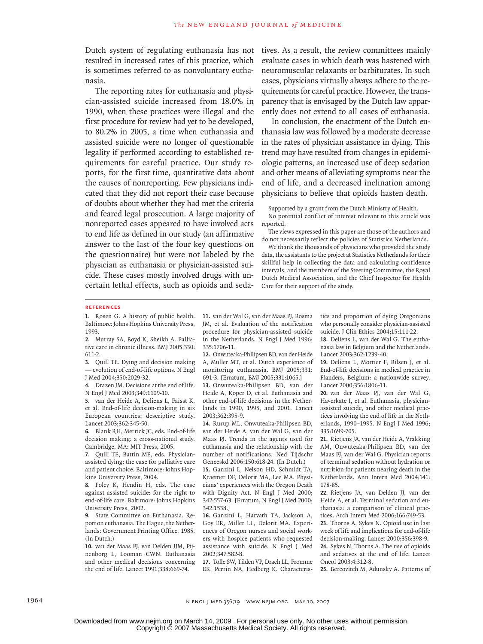Dutch system of regulating euthanasia has not resulted in increased rates of this practice, which is sometimes referred to as nonvoluntary euthanasia.

The reporting rates for euthanasia and physician-assisted suicide increased from 18.0% in 1990, when these practices were illegal and the first procedure for review had yet to be developed, to 80.2% in 2005, a time when euthanasia and assisted suicide were no longer of questionable legality if performed according to established requirements for careful practice. Our study reports, for the first time, quantitative data about the causes of nonreporting. Few physicians indicated that they did not report their case because of doubts about whether they had met the criteria and feared legal prosecution. A large majority of nonreported cases appeared to have involved acts to end life as defined in our study (an affirmative answer to the last of the four key questions on the questionnaire) but were not labeled by the physician as euthanasia or physician-assisted suicide. These cases mostly involved drugs with uncertain lethal effects, such as opioids and seda-

tives. As a result, the review committees mainly evaluate cases in which death was hastened with neuromuscular relaxants or barbiturates. In such cases, physicians virtually always adhere to the requirements for careful practice. However, the transparency that is envisaged by the Dutch law apparently does not extend to all cases of euthanasia.

In conclusion, the enactment of the Dutch euthanasia law was followed by a moderate decrease in the rates of physician assistance in dying. This trend may have resulted from changes in epidemiologic patterns, an increased use of deep sedation and other means of alleviating symptoms near the end of life, and a decreased inclination among physicians to believe that opioids hasten death.

Supported by a grant from the Dutch Ministry of Health.

No potential conflict of interest relevant to this article was reported.

The views expressed in this paper are those of the authors and do not necessarily reflect the policies of Statistics Netherlands.

We thank the thousands of physicians who provided the study data, the assistants to the project at Statistics Netherlands for their skillful help in collecting the data and calculating confidence intervals, and the members of the Steering Committee, the Royal Dutch Medical Association, and the Chief Inspector for Health Care for their support of the study.

#### **References**

1. Rosen G. A history of public health. Baltimore: Johns Hopkins University Press, 1993.

Murray SA, Boyd K, Sheikh A. Pallia-**2.** tive care in chronic illness. BMJ 2005;330: 611-2.

Quill TE. Dying and decision making **3.** — evolution of end-of-life options. N Engl J Med 2004;350:2029-32.

Drazen JM. Decisions at the end of life. **4.** N Engl J Med 2003;349:1109-10.

5. van der Heide A, Deliens L, Faisst K, et al. End-of-life decision-making in six European countries: descriptive study. Lancet 2003;362:345-50.

Blank RH, Merrick JC, eds. End-of-life **6.** decision making: a cross-national study. Cambridge, MA: MIT Press, 2005.

Quill TE, Battin ME, eds. Physician-**7.** assisted dying: the case for palliative care and patient choice. Baltimore: Johns Hopkins University Press, 2004.

Foley K, Hendin H, eds. The case **8.** against assisted suicide: for the right to end-of-life care. Baltimore: Johns Hopkins University Press, 2002.

9. State Committee on Euthanasia. Report on euthanasia. The Hague, the Netherlands: Government Printing Office, 1985. (In Dutch.)

10. van der Maas PJ, van Delden JJM, Pijnenborg L, Looman CWN. Euthanasia and other medical decisions concerning the end of life. Lancet 1991;338:669-74.

11. van der Wal G, van der Maas PJ, Bosma JM, et al. Evaluation of the notification procedure for physician-assisted suicide in the Netherlands. N Engl J Med 1996; 335:1706-11.

12. Onwuteaka-Philipsen BD, van der Heide A, Muller MT, et al. Dutch experience of monitoring euthanasia. BMJ 2005;331: 691-3. [Erratum, BMJ 2005;331:1065.]

13. Onwuteaka-Philipsen BD, van der Heide A, Koper D, et al. Euthanasia and other end-of-life decisions in the Netherlands in 1990, 1995, and 2001. Lancet 2003;362:395-9.

14. Rurup ML, Onwuteaka-Philipsen BD, van der Heide A, van der Wal G, van der Maas PJ. Trends in the agents used for euthanasia and the relationship with the number of notifications. Ned Tijdschr Geneeskd 2006;150:618-24. (In Dutch.)

15. Ganzini L, Nelson HD, Schmidt TA, Kraemer DF, Delorit MA, Lee MA. Physicians' experiences with the Oregon Death with Dignity Act. N Engl J Med 2000; 342:557-63. [Erratum, N Engl J Med 2000; 342:1538.]

16. Ganzini L, Harvath TA, Jackson A, Goy ER, Miller LL, Delorit MA. Experiences of Oregon nurses and social workers with hospice patients who requested assistance with suicide. N Engl J Med 2002;347:582-8.

17. Tolle SW, Tilden VP, Drach LL, Fromme EK, Perrin NA, Hedberg K. Characteristics and proportion of dying Oregonians who personally consider physician-assisted suicide. J Clin Ethics 2004;15:111-22.

18. Deliens L, van der Wal G. The euthanasia law in Belgium and the Netherlands. Lancet 2003;362:1239-40.

19. Deliens L, Mortier F, Bilsen J, et al. End-of-life decisions in medical practice in Flanders, Belgium: a nationwide survey. Lancet 2000;356:1806-11.

20. van der Maas PJ, van der Wal G, Haverkate I, et al. Euthanasia, physicianassisted suicide, and other medical practices involving the end of life in the Netherlands, 1990–1995. N Engl J Med 1996; 335:1699-705.

21. Rietjens JA, van der Heide A, Vrakking AM, Onwuteaka-Philipsen BD, van der Maas PJ, van der Wal G. Physician reports of terminal sedation without hydration or nutrition for patients nearing death in the Netherlands. Ann Intern Med 2004;141: 178-85.

22. Rietjens JA, van Delden JJ, van der Heide A, et al. Terminal sedation and euthanasia: a comparison of clinical practices. Arch Intern Med 2006;166:749-53.

23. Thorns A, Sykes N. Opioid use in last week of life and implications for end-of-life decision-making. Lancet 2000;356:398-9. 24. Sykes N, Thorns A. The use of opioids and sedatives at the end of life. Lancet Oncol 2003;4:312-8.

25. Bercovitch M, Adunsky A. Patterns of